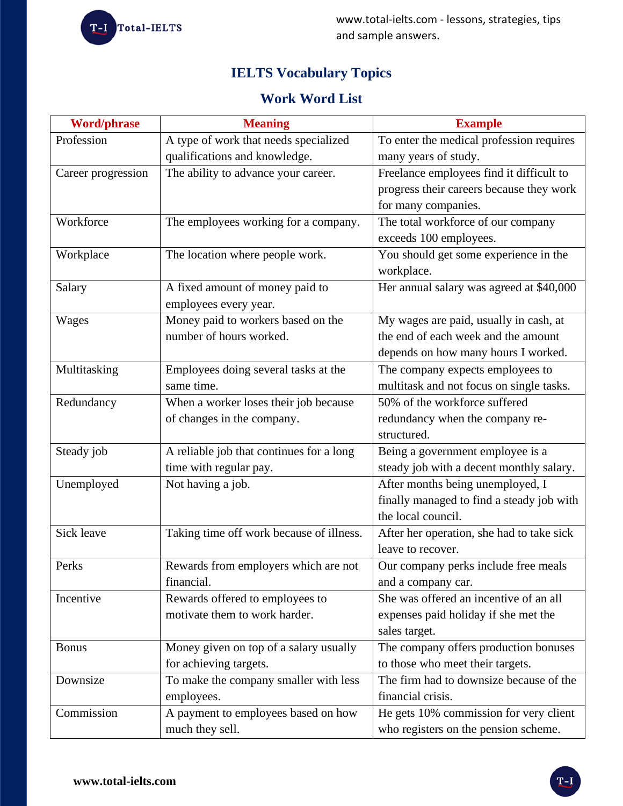T-I Total-IELTS

www.total-ielts.com - lessons, strategies, tips and sample answers.

# **IELTS Vocabulary Topics**

# **Work Word List**

| <b>Word/phrase</b> | <b>Meaning</b>                           | <b>Example</b>                            |
|--------------------|------------------------------------------|-------------------------------------------|
| Profession         | A type of work that needs specialized    | To enter the medical profession requires  |
|                    | qualifications and knowledge.            | many years of study.                      |
| Career progression | The ability to advance your career.      | Freelance employees find it difficult to  |
|                    |                                          | progress their careers because they work  |
|                    |                                          | for many companies.                       |
| Workforce          | The employees working for a company.     | The total workforce of our company        |
|                    |                                          | exceeds 100 employees.                    |
| Workplace          | The location where people work.          | You should get some experience in the     |
|                    |                                          | workplace.                                |
| Salary             | A fixed amount of money paid to          | Her annual salary was agreed at \$40,000  |
|                    | employees every year.                    |                                           |
| Wages              | Money paid to workers based on the       | My wages are paid, usually in cash, at    |
|                    | number of hours worked.                  | the end of each week and the amount       |
|                    |                                          | depends on how many hours I worked.       |
| Multitasking       | Employees doing several tasks at the     | The company expects employees to          |
|                    | same time.                               | multitask and not focus on single tasks.  |
| Redundancy         | When a worker loses their job because    | 50% of the workforce suffered             |
|                    | of changes in the company.               | redundancy when the company re-           |
|                    |                                          | structured.                               |
| Steady job         | A reliable job that continues for a long | Being a government employee is a          |
|                    | time with regular pay.                   | steady job with a decent monthly salary.  |
| Unemployed         | Not having a job.                        | After months being unemployed, I          |
|                    |                                          | finally managed to find a steady job with |
|                    |                                          | the local council.                        |
| Sick leave         | Taking time off work because of illness. | After her operation, she had to take sick |
|                    |                                          | leave to recover.                         |
| Perks              | Rewards from employers which are not     | Our company perks include free meals      |
|                    | financial.                               | and a company car.                        |
| Incentive          | Rewards offered to employees to          | She was offered an incentive of an all    |
|                    | motivate them to work harder.            | expenses paid holiday if she met the      |
|                    |                                          | sales target.                             |
| <b>Bonus</b>       | Money given on top of a salary usually   | The company offers production bonuses     |
|                    | for achieving targets.                   | to those who meet their targets.          |
| Downsize           | To make the company smaller with less    | The firm had to downsize because of the   |
|                    | employees.                               | financial crisis.                         |
| Commission         | A payment to employees based on how      | He gets 10% commission for very client    |
|                    | much they sell.                          | who registers on the pension scheme.      |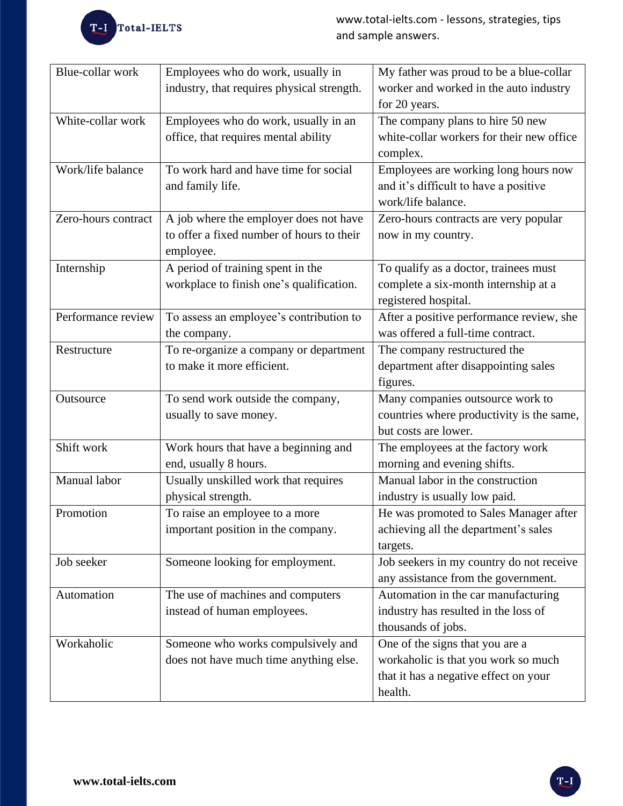

| Blue-collar work    | Employees who do work, usually in          | My father was proud to be a blue-collar   |
|---------------------|--------------------------------------------|-------------------------------------------|
|                     | industry, that requires physical strength. | worker and worked in the auto industry    |
|                     |                                            | for 20 years.                             |
| White-collar work   | Employees who do work, usually in an       | The company plans to hire 50 new          |
|                     | office, that requires mental ability       | white-collar workers for their new office |
|                     |                                            | complex.                                  |
| Work/life balance   | To work hard and have time for social      | Employees are working long hours now      |
|                     | and family life.                           | and it's difficult to have a positive     |
|                     |                                            | work/life balance.                        |
| Zero-hours contract | A job where the employer does not have     | Zero-hours contracts are very popular     |
|                     | to offer a fixed number of hours to their  | now in my country.                        |
|                     | employee.                                  |                                           |
| Internship          | A period of training spent in the          | To qualify as a doctor, trainees must     |
|                     | workplace to finish one's qualification.   | complete a six-month internship at a      |
|                     |                                            | registered hospital.                      |
| Performance review  | To assess an employee's contribution to    | After a positive performance review, she  |
|                     | the company.                               | was offered a full-time contract.         |
| Restructure         | To re-organize a company or department     | The company restructured the              |
|                     | to make it more efficient.                 | department after disappointing sales      |
|                     |                                            | figures.                                  |
| Outsource           | To send work outside the company,          | Many companies outsource work to          |
|                     | usually to save money.                     | countries where productivity is the same, |
|                     |                                            | but costs are lower.                      |
| Shift work          | Work hours that have a beginning and       | The employees at the factory work         |
|                     | end, usually 8 hours.                      | morning and evening shifts.               |
| Manual labor        | Usually unskilled work that requires       | Manual labor in the construction          |
|                     | physical strength.                         | industry is usually low paid.             |
| Promotion           | To raise an employee to a more             | He was promoted to Sales Manager after    |
|                     | important position in the company.         | achieving all the department's sales      |
|                     |                                            | targets.                                  |
| Job seeker          | Someone looking for employment.            | Job seekers in my country do not receive  |
|                     |                                            | any assistance from the government.       |
| Automation          | The use of machines and computers          | Automation in the car manufacturing       |
|                     | instead of human employees.                | industry has resulted in the loss of      |
|                     |                                            | thousands of jobs.                        |
| Workaholic          | Someone who works compulsively and         | One of the signs that you are a           |
|                     | does not have much time anything else.     | workaholic is that you work so much       |
|                     |                                            | that it has a negative effect on your     |
|                     |                                            | health.                                   |